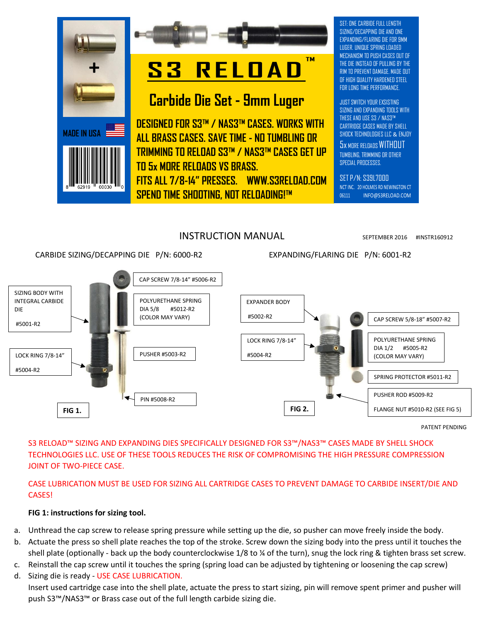



# **S3 RELOAD ™**

# **Carbide Die Set - 9mm Luger**

**DESIGNED FOR S3™ / NAS3™ CASES. WORKS WITH ALL BRASS CASES. SAVE TIME - NO TUMBLING OR TRIMMING TO RELOAD S3™ / NAS3™ CASES GET UP TO 5x MORE RELOADS VS BRASS. FITS ALL 7/8-14" PRESSES. [WWW.S3RELOAD.COM](http://www.s3reload.com/) SPEND TIME SHOOTING, NOT RELOADING!™**

SET: ONE CARBIDE FULL LENGTH SIZING/DECAPPING DIE AND ONE EXPANDING/FLARING DIE FOR 9MM LUGER. UNIQUE SPRING LOADED MECHANISM TO PUSH CASES OUT OF THE DIE INSTEAD OF PULLING BY THE RIM TO PREVENT DAMAGE. MADE OUT OF HIGH QUALITY HARDENED STEEL FOR LONG TIME PERFORMANCE.

JUST SWITCH YOUR EXSISTING SIZING AND EXPANDING TOOLS WITH THESE AND USE S3 / NAS3™ CARTRIDGE CASES MADE BY SHELL SHOCK TECHNOLOGIES LLC & ENJOY

5x MORE RELOADS WITHOUT TUMBLING, TRIMMING OR OTHER SPECIAL PROCESSES.

SET P/N: S39L7000 NCT INC. 20 HOLMES RD NEWINGTON CT 06111 INFO@S3RELOAD.COM

# INSTRUCTION MANUAL SEPTEMBER 2016 #INSTR160912

CARBIDE SIZING/DECAPPING DIE P/N: 6000-R2 EXPANDING/FLARING DIE P/N: 6001-R2



PATENT PENDING

S3 RELOAD™ SIZING AND EXPANDING DIES SPECIFICALLY DESIGNED FOR S3™/NAS3™ CASES MADE BY SHELL SHOCK TECHNOLOGIES LLC. USE OF THESE TOOLS REDUCES THE RISK OF COMPROMISING THE HIGH PRESSURE COMPRESSION JOINT OF TWO-PIECE CASE.

## CASE LUBRICATION MUST BE USED FOR SIZING ALL CARTRIDGE CASES TO PREVENT DAMAGE TO CARBIDE INSERT/DIE AND CASES!

## **FIG 1: instructions for sizing tool.**

- a. Unthread the cap screw to release spring pressure while setting up the die, so pusher can move freely inside the body.
- b. Actuate the press so shell plate reaches the top of the stroke. Screw down the sizing body into the press until it touches the shell plate (optionally - back up the body counterclockwise 1/8 to ¼ of the turn), snug the lock ring & tighten brass set screw.
- c. Reinstall the cap screw until it touches the spring (spring load can be adjusted by tightening or loosening the cap screw)
- d. Sizing die is ready USE CASE LUBRICATION. Insert used cartridge case into the shell plate, actuate the press to start sizing, pin will remove spent primer and pusher will push S3™/NAS3™ or Brass case out of the full length carbide sizing die.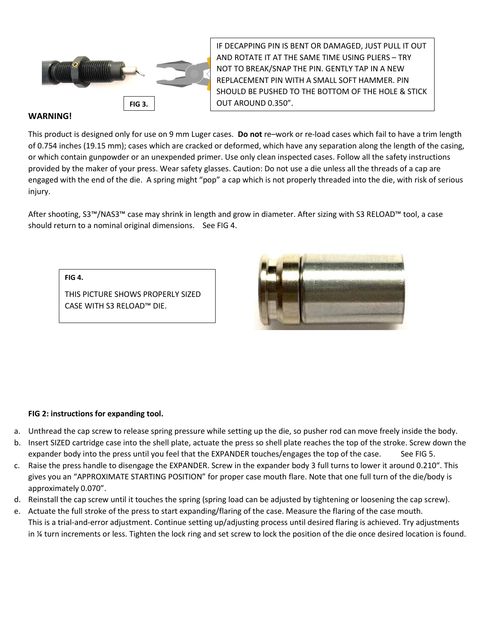

IF DECAPPING PIN IS BENT OR DAMAGED, JUST PULL IT OUT AND ROTATE IT AT THE SAME TIME USING PLIERS – TRY NOT TO BREAK/SNAP THE PIN. GENTLY TAP IN A NEW REPLACEMENT PIN WITH A SMALL SOFT HAMMER. PIN SHOULD BE PUSHED TO THE BOTTOM OF THE HOLE & STICK

### **WARNING!**

This product is designed only for use on 9 mm Luger cases. **Do not** re–work or re-load cases which fail to have a trim length of 0.754 inches (19.15 mm); cases which are cracked or deformed, which have any separation along the length of the casing, or which contain gunpowder or an unexpended primer. Use only clean inspected cases. Follow all the safety instructions provided by the maker of your press. Wear safety glasses. Caution: Do not use a die unless all the threads of a cap are engaged with the end of the die. A spring might "pop" a cap which is not properly threaded into the die, with risk of serious injury.

After shooting, S3™/NAS3™ case may shrink in length and grow in diameter. After sizing with S3 RELOAD™ tool, a case should return to a nominal original dimensions. See FIG 4.

**FIG 4.** 

THIS PICTURE SHOWS PROPERLY SIZED CASE WITH S3 RELOAD™ DIE.



#### **FIG 2: instructions for expanding tool.**

- a. Unthread the cap screw to release spring pressure while setting up the die, so pusher rod can move freely inside the body.
- b. Insert SIZED cartridge case into the shell plate, actuate the press so shell plate reaches the top of the stroke. Screw down the expander body into the press until you feel that the EXPANDER touches/engages the top of the case. See FIG 5.
- c. Raise the press handle to disengage the EXPANDER. Screw in the expander body 3 full turns to lower it around 0.210". This gives you an "APPROXIMATE STARTING POSITION" for proper case mouth flare. Note that one full turn of the die/body is approximately 0.070".
- d. Reinstall the cap screw until it touches the spring (spring load can be adjusted by tightening or loosening the cap screw).
- e. Actuate the full stroke of the press to start expanding/flaring of the case. Measure the flaring of the case mouth. This is a trial-and-error adjustment. Continue setting up/adjusting process until desired flaring is achieved. Try adjustments in ¼ turn increments or less. Tighten the lock ring and set screw to lock the position of the die once desired location is found.